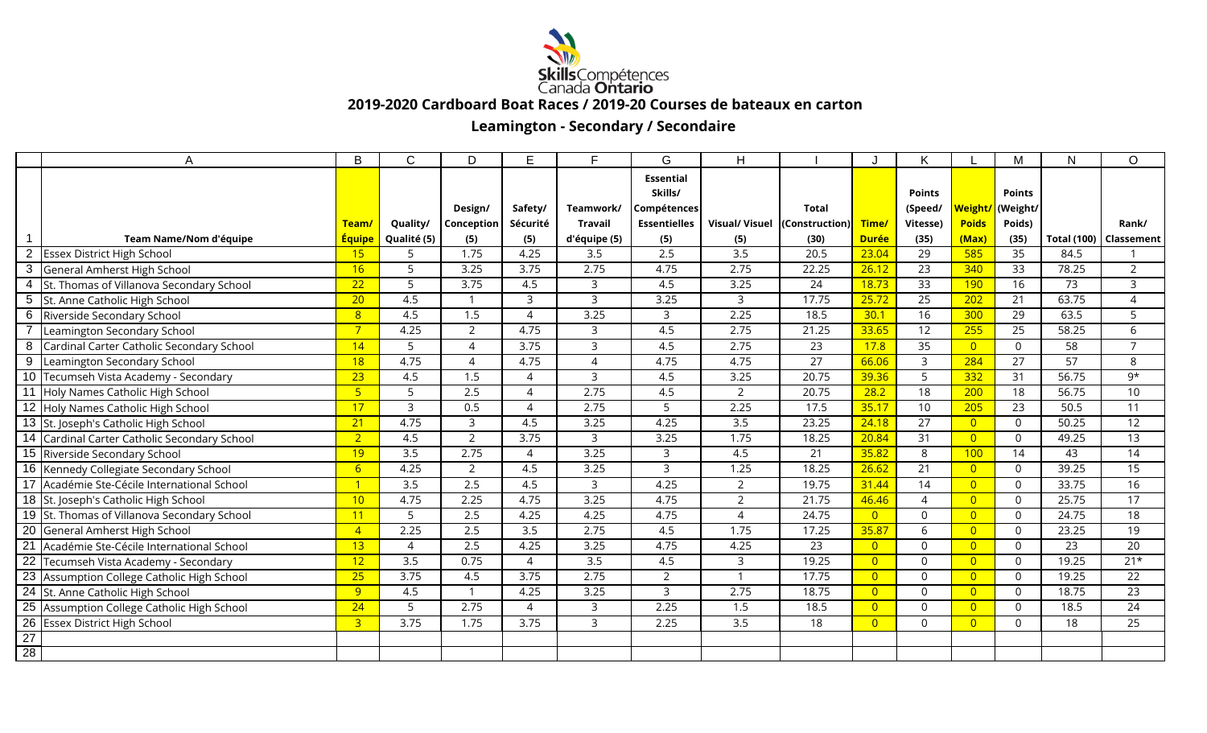

 **2019-2020 Cardboard Boat Races / 2019-20 Courses de bateaux en carton**

## **Leamington - Secondary / Secondaire**

|                 | A                                            | B               | $\mathcal{C}$    | D                     | E                     | F.               | G                   | H                             |                 |                | K               |                     | M             | N               | $\Omega$                 |
|-----------------|----------------------------------------------|-----------------|------------------|-----------------------|-----------------------|------------------|---------------------|-------------------------------|-----------------|----------------|-----------------|---------------------|---------------|-----------------|--------------------------|
|                 |                                              |                 |                  |                       |                       |                  | <b>Essential</b>    |                               |                 |                |                 |                     |               |                 |                          |
|                 |                                              |                 |                  |                       |                       |                  | Skills/             |                               |                 |                | <b>Points</b>   |                     | <b>Points</b> |                 |                          |
|                 |                                              |                 |                  | Design/               | Safety/               | Teamwork/        | Compétences         |                               | <b>Total</b>    |                | (Speed/         | <mark>Weight</mark> | (Weight/      |                 |                          |
|                 |                                              | Team/           | Quality/         | Conception            | Sécurité              | <b>Travail</b>   | <b>Essentielles</b> | Visual/ Visuel (Construction) |                 | Time/          | Vitesse)        | <b>Poids</b>        | Poids)        |                 | Rank/                    |
|                 | Team Name/Nom d'équipe                       | <b>Équipe</b>   | Qualité (5)      | (5)                   | (5)                   | d'équipe (5)     | (5)                 | (5)                           | (30)            | <b>Durée</b>   | (35)            | (Max)               | (35)          |                 | Total (100)   Classement |
| $\overline{2}$  | <b>Essex District High School</b>            | 15              | 5                | 1.75                  | 4.25                  | 3.5              | 2.5                 | $\overline{3.5}$              | 20.5            | 23.04          | 29              | 585                 | 35            | 84.5            |                          |
| $\sqrt{3}$      | General Amherst High School                  | 16              | 5                | 3.25                  | 3.75                  | 2.75             | 4.75                | 2.75                          | 22.25           | 26.12          | 23              | 340                 | 33            | 78.25           | 2                        |
| $\overline{4}$  | St. Thomas of Villanova Secondary School     | 22              | 5                | 3.75                  | 4.5                   | 3                | 4.5                 | 3.25                          | 24              | 18.73          | 33              | 190                 | 16            | 73              | 3                        |
| $5\phantom{.0}$ | St. Anne Catholic High School                | $\overline{20}$ | 4.5              |                       | 3                     | $\overline{3}$   | 3.25                | 3                             | 17.75           | 25.72          | $\overline{25}$ | 202                 | 21            | 63.75           | 4                        |
| 6               | Riverside Secondary School                   | 8 <sup>°</sup>  | 4.5              | 1.5                   | $\Delta$              | 3.25             | 3                   | 2.25                          | 18.5            | 30.1           | 16              | 300                 | 29            | 63.5            | 5                        |
|                 | Leamington Secondary School                  | $7\overline{}$  | 4.25             | $\overline{2}$        | 4.75                  | $\overline{3}$   | 4.5                 | 2.75                          | 21.25           | 33.65          | 12              | 255                 | 25            | 58.25           | 6                        |
| 8               | Cardinal Carter Catholic Secondary School    | 14              | 5                | $\Delta$              | 3.75                  | 3                | 4.5                 | 2.75                          | 23              | 17.8           | 35              | $\overline{0}$      | $\Omega$      | 58              | $\overline{7}$           |
| 9               | Leamington Secondary School                  | 18              | 4.75             | $\boldsymbol{\Delta}$ | 4.75                  | $\overline{4}$   | 4.75                | 4.75                          | 27              | 66.06          | $\mathsf{3}$    | 284                 | 27            | 57              | 8                        |
|                 | 10 Tecumseh Vista Academy - Secondary        | 23              | 4.5              | 1.5                   | 4                     | 3                | 4.5                 | 3.25                          | 20.75           | 39.36          | 5               | 332                 | 31            | 56.75           | 9*                       |
| $\overline{11}$ | Holy Names Catholic High School              | 5 <sub>5</sub>  | 5                | 2.5                   | $\boldsymbol{\Delta}$ | 2.75             | 4.5                 | $\overline{2}$                | 20.75           | 28.2           | 18              | 200                 | 18            | 56.75           | 10                       |
|                 | 12 Holy Names Catholic High School           | 17              | 3                | 0.5                   | $\boldsymbol{\Delta}$ | 2.75             | 5                   | 2.25                          | 17.5            | 35.17          | 10 <sup>°</sup> | 205                 | 23            | 50.5            | 11                       |
|                 | 13 St. Joseph's Catholic High School         | 21              | 4.75             | 3                     | 4.5                   | 3.25             | 4.25                | 3.5                           | 23.25           | 24.18          | 27              | $\overline{0}$      | $\Omega$      | 50.25           | 12                       |
|                 | 14 Cardinal Carter Catholic Secondary School | 2 <sup>1</sup>  | 4.5              | $\overline{2}$        | 3.75                  | 3                | 3.25                | 1.75                          | 18.25           | 20.84          | 31              | $\overline{0}$      | $\Omega$      | 49.25           | 13                       |
|                 | 15 Riverside Secondary School                | 19              | 3.5              | 2.75                  | 4                     | 3.25             | 3                   | 4.5                           | 21              | 35.82          | 8               | 100                 | 14            | 43              | 14                       |
|                 | 16 Kennedy Collegiate Secondary School       | 6               | 4.25             | 2                     | 4.5                   | 3.25             | 3                   | 1.25                          | 18.25           | 26.62          | 21              | $\overline{0}$      | $\Omega$      | 39.25           | 15                       |
|                 | 17 Académie Ste-Cécile International School  | -1              | $\overline{3.5}$ | $\overline{2.5}$      | 4.5                   | 3                | 4.25                | $\overline{2}$                | 19.75           | 31.44          | 14              | $\overline{0}$      | $\Omega$      | 33.75           | 16                       |
|                 | 18 St. Joseph's Catholic High School         | 10              | 4.75             | 2.25                  | 4.75                  | 3.25             | 4.75                | $\overline{2}$                | 21.75           | 46.46          | 4               | $\overline{0}$      | $\Omega$      | 25.75           | 17                       |
|                 | 19 St. Thomas of Villanova Secondary School  | 11              | 5                | 2.5                   | 4.25                  | 4.25             | 4.75                | 4                             | 24.75           | $\overline{0}$ | $\mathbf 0$     | $\overline{0}$      | $\Omega$      | 24.75           | 18                       |
|                 | 20 General Amherst High School               | $\overline{4}$  | 2.25             | 2.5                   | 3.5                   | 2.75             | 4.5                 | 1.75                          | 17.25           | 35.87          | 6               | $\overline{0}$      | $\Omega$      | 23.25           | 19                       |
| $\overline{21}$ | Académie Ste-Cécile International School     | 13              | $\Delta$         | 2.5                   | 4.25                  | 3.25             | 4.75                | 4.25                          | $\overline{23}$ | $\overline{0}$ | $\mathbf 0$     | $\overline{0}$      | $\Omega$      | $\overline{23}$ | $\overline{20}$          |
| $\overline{22}$ | Tecumseh Vista Academy - Secondary           | 12              | $\overline{3.5}$ | 0.75                  | $\overline{4}$        | $\overline{3.5}$ | 4.5                 | $\mathsf{3}$                  | 19.25           | $\overline{0}$ | $\mathbf 0$     | $\overline{0}$      | $\mathbf{0}$  | 19.25           | $21*$                    |
|                 | 23 Assumption College Catholic High School   | 25              | 3.75             | 4.5                   | 3.75                  | 2.75             | $\overline{2}$      |                               | 17.75           | $\overline{0}$ | $\mathbf 0$     | $\overline{0}$      | $\Omega$      | 19.25           | 22                       |
|                 | 24 St. Anne Catholic High School             | 9               | 4.5              |                       | 4.25                  | 3.25             | 3                   | 2.75                          | 18.75           | $\overline{0}$ | $\mathbf 0$     | $\overline{0}$      | $\Omega$      | 18.75           | 23                       |
|                 | 25 Assumption College Catholic High School   | 24              | 5                | 2.75                  | 4                     | 3                | 2.25                | 1.5                           | 18.5            | $\overline{0}$ | $\mathbf 0$     | $\overline{0}$      | $\Omega$      | 18.5            | $\overline{24}$          |
| $\overline{26}$ | <b>Essex District High School</b>            | $\overline{3}$  | 3.75             | 1.75                  | 3.75                  | 3                | 2.25                | $\overline{3.5}$              | 18              | $\overline{0}$ | $\mathbf 0$     | $\overline{0}$      | $\Omega$      | 18              | $\overline{25}$          |
| $\frac{27}{28}$ |                                              |                 |                  |                       |                       |                  |                     |                               |                 |                |                 |                     |               |                 |                          |
|                 |                                              |                 |                  |                       |                       |                  |                     |                               |                 |                |                 |                     |               |                 |                          |